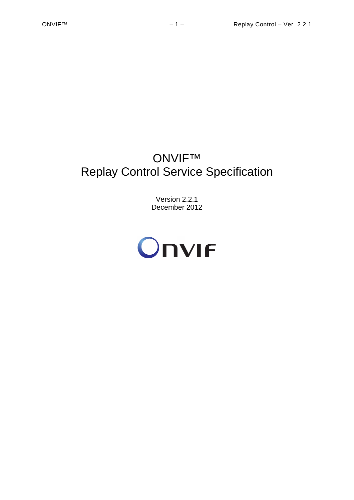# ONVIF™ Replay Control Service Specification

Version 2.2.1 December 2012

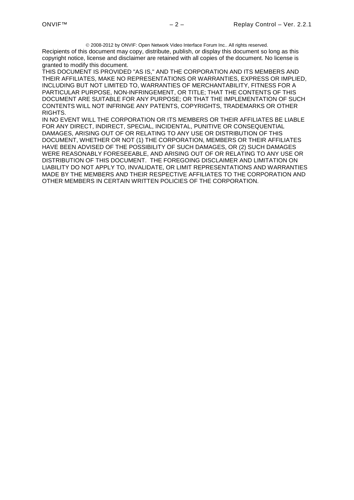2008-2012 by ONVIF: Open Network Video Interface Forum Inc.. All rights reserved. Recipients of this document may copy, distribute, publish, or display this document so long as this copyright notice, license and disclaimer are retained with all copies of the document. No license is granted to modify this document.

THIS DOCUMENT IS PROVIDED "AS IS," AND THE CORPORATION AND ITS MEMBERS AND THEIR AFFILIATES, MAKE NO REPRESENTATIONS OR WARRANTIES, EXPRESS OR IMPLIED, INCLUDING BUT NOT LIMITED TO, WARRANTIES OF MERCHANTABILITY, FITNESS FOR A PARTICULAR PURPOSE, NON-INFRINGEMENT, OR TITLE; THAT THE CONTENTS OF THIS DOCUMENT ARE SUITABLE FOR ANY PURPOSE; OR THAT THE IMPLEMENTATION OF SUCH CONTENTS WILL NOT INFRINGE ANY PATENTS, COPYRIGHTS, TRADEMARKS OR OTHER RIGHTS.

IN NO EVENT WILL THE CORPORATION OR ITS MEMBERS OR THEIR AFFILIATES BE LIABLE FOR ANY DIRECT, INDIRECT, SPECIAL, INCIDENTAL, PUNITIVE OR CONSEQUENTIAL DAMAGES, ARISING OUT OF OR RELATING TO ANY USE OR DISTRIBUTION OF THIS DOCUMENT, WHETHER OR NOT (1) THE CORPORATION, MEMBERS OR THEIR AFFILIATES HAVE BEEN ADVISED OF THE POSSIBILITY OF SUCH DAMAGES, OR (2) SUCH DAMAGES WERE REASONABLY FORESEEABLE, AND ARISING OUT OF OR RELATING TO ANY USE OR DISTRIBUTION OF THIS DOCUMENT. THE FOREGOING DISCLAIMER AND LIMITATION ON LIABILITY DO NOT APPLY TO, INVALIDATE, OR LIMIT REPRESENTATIONS AND WARRANTIES MADE BY THE MEMBERS AND THEIR RESPECTIVE AFFILIATES TO THE CORPORATION AND OTHER MEMBERS IN CERTAIN WRITTEN POLICIES OF THE CORPORATION.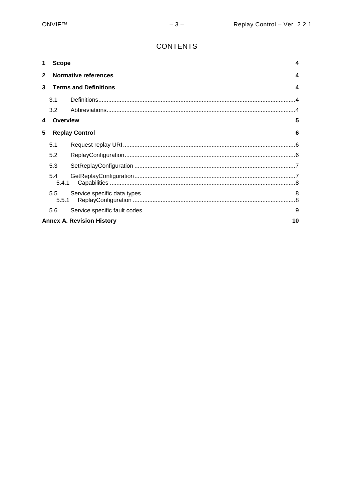## **CONTENTS**

| 1              |                                        | <b>Scope</b><br>4         |                          |  |
|----------------|----------------------------------------|---------------------------|--------------------------|--|
| $\overline{2}$ |                                        | Normative references<br>4 |                          |  |
| 3              | <b>Terms and Definitions</b><br>4      |                           |                          |  |
|                | 3.1                                    |                           | $\boldsymbol{\varDelta}$ |  |
|                | 3.2                                    |                           |                          |  |
| 4              | Overview                               |                           | 5                        |  |
| 5              | <b>Replay Control</b><br>6             |                           |                          |  |
|                | 5.1                                    |                           |                          |  |
|                | 5.2                                    |                           |                          |  |
|                | 5.3                                    |                           |                          |  |
|                | 5.4<br>5.4.1                           |                           |                          |  |
|                | 5.5<br>5.5.1                           |                           |                          |  |
|                | 5.6                                    |                           |                          |  |
|                | 10<br><b>Annex A. Revision History</b> |                           |                          |  |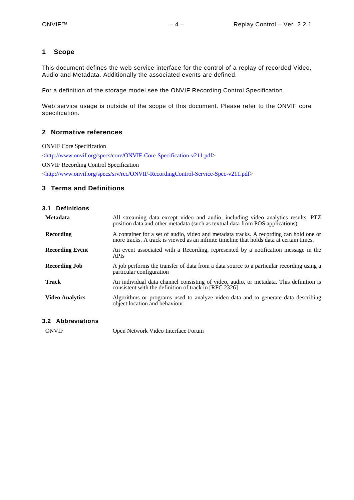#### <span id="page-3-0"></span>**1 Scope**

This document defines the web service interface for the control of a replay of recorded Video, Audio and Metadata. Additionally the associated events are defined.

For a definition of the storage model see the ONVIF Recording Control Specification.

Web service usage is outside of the scope of this document. Please refer to the ONVIF core specification.

#### <span id="page-3-1"></span>**2 Normative references**

ONVIF Core Specification [<http://www.onvif.org/specs/core/ONVIF-Core-Specification-v211.pdf>](http://www.onvif.org/specs/core/ONVIF-Core-Specification-v211.pdf) ONVIF Recording Control Specification [<http://www.onvif.org/specs/srv/rec/ONVIF-RecordingControl-Service-Spec-v211.pdf>](http://www.onvif.org/specs/srv/rec/ONVIF-RecordingControl-Service-Spec-v211.pdf)

#### <span id="page-3-2"></span>**3 Terms and Definitions**

<span id="page-3-3"></span>

| 3.1 Definitions        |                                                                                                                                                                                    |
|------------------------|------------------------------------------------------------------------------------------------------------------------------------------------------------------------------------|
| <b>Metadata</b>        | All streaming data except video and audio, including video analytics results, PTZ<br>position data and other metadata (such as textual data from POS applications).                |
| Recording              | A container for a set of audio, video and metadata tracks. A recording can hold one or<br>more tracks. A track is viewed as an infinite timeline that holds data at certain times. |
| <b>Recording Event</b> | An event associated with a Recording, represented by a notification message in the<br><b>APIs</b>                                                                                  |
| <b>Recording Job</b>   | A job performs the transfer of data from a data source to a particular recording using a<br>particular configuration                                                               |
| Track                  | An individual data channel consisting of video, audio, or metadata. This definition is<br>consistent with the definition of track in [RFC 2326]                                    |
| <b>Video Analytics</b> | Algorithms or programs used to analyze video data and to generate data describing<br>object location and behaviour.                                                                |

#### <span id="page-3-4"></span>**3.2 Abbreviations**

ONVIF Open Network Video Interface Forum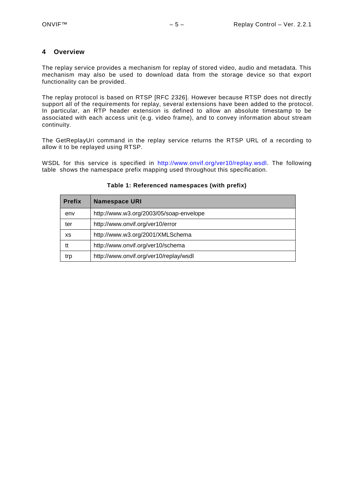#### <span id="page-4-0"></span>**4 Overview**

The replay service provides a mechanism for replay of stored video, audio and metadata. This mechanism may also be used to download data from the storage device so that export functionality can be provided.

The replay protocol is based on RTSP [RFC 2326]. However because RTSP does not directly support all of the requirements for replay, several extensions have been added to the protocol. In particular, an RTP header extension is defined to allow an absolute timestamp to be associated with each access unit (e.g. video frame), and to convey information about stream continuity.

The GetReplayUri command in the replay service returns the RTSP URL of a recording to allow it to be replayed using RTSP.

WSDL for this service is specified in [http://www.onvif.org/ver10/replay.wsdl.](http://www.onvif.org/ver10/replay.wsdl) The following table shows the namespace prefix mapping used throughout this specification.

| <b>Prefix</b> | <b>Namespace URI</b>                    |  |
|---------------|-----------------------------------------|--|
| env           | http://www.w3.org/2003/05/soap-envelope |  |
| ter           | http://www.onvif.org/ver10/error        |  |
| хs            | http://www.w3.org/2001/XMLSchema        |  |
| tt            | http://www.onvif.org/ver10/schema       |  |
| trp           | http://www.onvif.org/ver10/replay/wsdl  |  |

#### **Table 1: Referenced namespaces (with prefix)**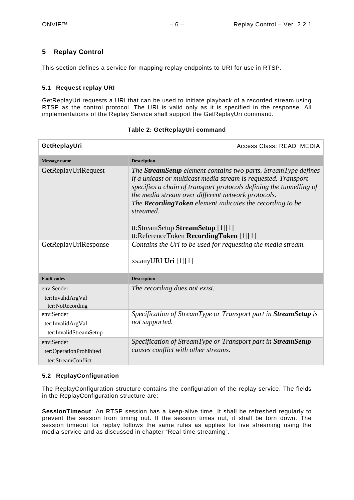#### <span id="page-5-0"></span>**5 Replay Control**

This section defines a service for mapping replay endpoints to URI for use in RTSP.

#### <span id="page-5-1"></span>**5.1 Request replay URI**

GetReplayUri requests a URI that can be used to initiate playback of a recorded stream using RTSP as the control protocol. The URI is valid only as it is specified in the response. All implementations of the Replay Service shall support the GetReplayUri command.

| GetReplayUri                                                | Access Class: READ MEDIA                                                                                                                                                                                                                                                                                                                                                                                                       |  |
|-------------------------------------------------------------|--------------------------------------------------------------------------------------------------------------------------------------------------------------------------------------------------------------------------------------------------------------------------------------------------------------------------------------------------------------------------------------------------------------------------------|--|
| <b>Message name</b>                                         | <b>Description</b>                                                                                                                                                                                                                                                                                                                                                                                                             |  |
| GetReplayUriRequest                                         | The <b>StreamSetup</b> element contains two parts. StreamType defines<br>if a unicast or multicast media stream is requested. Transport<br>specifies a chain of transport protocols defining the tunnelling of<br>the media stream over different network protocols.<br>The Recording Token element indicates the recording to be<br>streamed.<br>tt:StreamSetup StreamSetup [1][1]<br>tt:ReferenceToken RecordingToken [1][1] |  |
| GetReplayUriResponse                                        | Contains the Uri to be used for requesting the media stream.<br>xs:anyURI Uri $[1][1]$                                                                                                                                                                                                                                                                                                                                         |  |
| <b>Fault codes</b>                                          | <b>Description</b>                                                                                                                                                                                                                                                                                                                                                                                                             |  |
| env:Sender<br>ter:InvalidArgVal<br>ter:NoRecording          | The recording does not exist.                                                                                                                                                                                                                                                                                                                                                                                                  |  |
| env:Sender<br>ter:InvalidArgVal<br>ter:InvalidStreamSetup   | Specification of StreamType or Transport part in StreamSetup is<br>not supported.                                                                                                                                                                                                                                                                                                                                              |  |
| env:Sender<br>ter:OperationProhibited<br>ter:StreamConflict | Specification of StreamType or Transport part in StreamSetup<br>causes conflict with other streams.                                                                                                                                                                                                                                                                                                                            |  |

#### **Table 2: GetReplayUri command**

#### <span id="page-5-2"></span>**5.2 ReplayConfiguration**

The ReplayConfiguration structure contains the configuration of the replay service. The fields in the ReplayConfiguration structure are:

**SessionTimeout**: An RTSP session has a keep-alive time. It shall be refreshed regularly to prevent the session from timing out. If the session times out, it shall be torn down. The session timeout for replay follows the same rules as applies for live streaming using the media service and as discussed in chapter "Real-time streaming".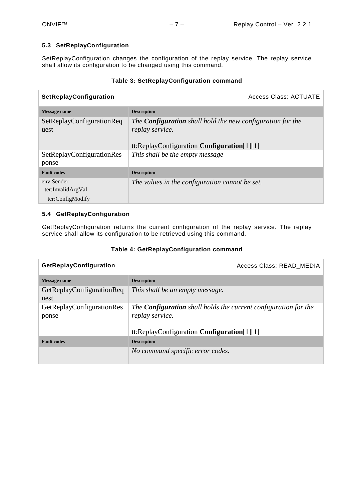#### <span id="page-6-0"></span>**5.3 SetReplayConfiguration**

SetReplayConfiguration changes the configuration of the replay service. The replay service shall allow its configuration to be changed using this command.

#### **Table 3: SetReplayConfiguration command**

| SetReplayConfiguration                              | Access Class: ACTUATE                                                                                                                 |  |
|-----------------------------------------------------|---------------------------------------------------------------------------------------------------------------------------------------|--|
| Message name                                        | <b>Description</b>                                                                                                                    |  |
| SetReplayConfigurationReq<br>uest                   | The <b>Configuration</b> shall hold the new configuration for the<br>replay service.<br>tt:ReplayConfiguration Configuration $[1][1]$ |  |
| SetReplayConfigurationRes<br>ponse                  | This shall be the empty message                                                                                                       |  |
| <b>Fault codes</b>                                  | <b>Description</b>                                                                                                                    |  |
| env:Sender<br>ter:InvalidArgVal<br>ter:ConfigModify | The values in the configuration cannot be set.                                                                                        |  |

#### <span id="page-6-1"></span>**5.4 GetReplayConfiguration**

GetReplayConfiguration returns the current configuration of the replay service. The replay service shall allow its configuration to be retrieved using this command.

#### **Table 4: GetReplayConfiguration command**

| GetReplayConfiguration            | Access Class: READ_MEDIA                                               |  |
|-----------------------------------|------------------------------------------------------------------------|--|
| <b>Message name</b>               | <b>Description</b>                                                     |  |
| GetReplayConfigurationReq<br>uest | This shall be an empty message.                                        |  |
| GetReplayConfigurationRes         | The <b>Configuration</b> shall holds the current configuration for the |  |
| ponse                             | replay service.<br>tt:ReplayConfiguration Configuration $[1][1]$       |  |
|                                   |                                                                        |  |
| <b>Fault codes</b>                | <b>Description</b>                                                     |  |
|                                   | No command specific error codes.                                       |  |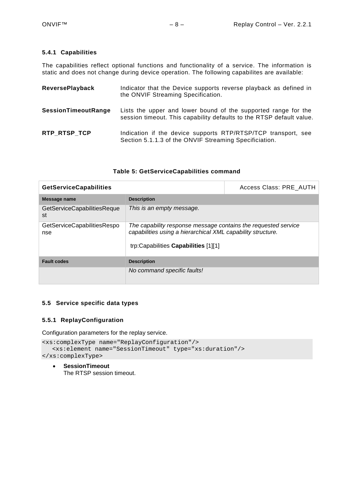#### <span id="page-7-0"></span>**5.4.1 Capabilities**

The capabilities reflect optional functions and functionality of a service. The information is static and does not change during device operation. The following capabilites are available:

| <b>ReversePlayback</b>     | Indicator that the Device supports reverse playback as defined in<br>the ONVIF Streaming Specification.                                |
|----------------------------|----------------------------------------------------------------------------------------------------------------------------------------|
| <b>SessionTimeoutRange</b> | Lists the upper and lower bound of the supported range for the<br>session timeout. This capability defaults to the RTSP default value. |
| RTP RTSP TCP               | Indication if the device supports RTP/RTSP/TCP transport, see<br>Section 5.1.1.3 of the ONVIF Streaming Specificiation.                |

#### **Table 5: GetServiceCapabilities command**

| <b>GetServiceCapabilities</b>      | Access Class: PRE AUTH                                                                                                                                                |  |
|------------------------------------|-----------------------------------------------------------------------------------------------------------------------------------------------------------------------|--|
| Message name                       | <b>Description</b>                                                                                                                                                    |  |
| GetServiceCapabilitiesReque<br>st  | This is an empty message.                                                                                                                                             |  |
| GetServiceCapabilitiesRespo<br>nse | The capability response message contains the requested service<br>capabilities using a hierarchical XML capability structure.<br>trp:Capabilities Capabilities [1][1] |  |
| <b>Fault codes</b>                 | <b>Description</b>                                                                                                                                                    |  |
|                                    | No command specific faults!                                                                                                                                           |  |

#### <span id="page-7-1"></span>**5.5 Service specific data types**

#### <span id="page-7-2"></span>**5.5.1 ReplayConfiguration**

Configuration parameters for the replay service.

```
<xs:complexType name="ReplayConfiguration"/>
   <xs:element name="SessionTimeout" type="xs:duration"/>
</xs:complexType>
```
• **SessionTimeout** The RTSP session timeout.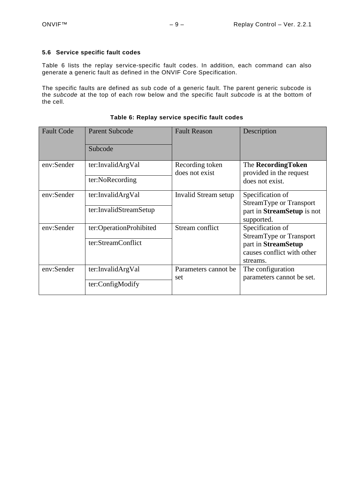#### <span id="page-8-0"></span>**5.6 Service specific fault codes**

[Table 6](#page-8-1) lists the replay service-specific fault codes. In addition, each command can also generate a generic fault as defined in the ONVIF Core Specification.

The specific faults are defined as sub code of a generic fault. The parent generic subcode is the *subcode* at the top of each row below and the specific fault *subcode* is at the bottom of the cell.

<span id="page-8-1"></span>

| <b>Fault Code</b> | <b>Parent Subcode</b><br>Subcode              | <b>Fault Reason</b>               | Description                                                                                                  |
|-------------------|-----------------------------------------------|-----------------------------------|--------------------------------------------------------------------------------------------------------------|
| env:Sender        | ter:InvalidArgVal<br>ter:NoRecording          | Recording token<br>does not exist | The RecordingToken<br>provided in the request<br>does not exist.                                             |
| env:Sender        | ter:InvalidArgVal<br>ter:InvalidStreamSetup   | Invalid Stream setup              | Specification of<br><b>StreamType or Transport</b><br>part in StreamSetup is not<br>supported.               |
| env:Sender        | ter:OperationProhibited<br>ter:StreamConflict | Stream conflict                   | Specification of<br>StreamType or Transport<br>part in StreamSetup<br>causes conflict with other<br>streams. |
| env:Sender        | ter:InvalidArgVal<br>ter:ConfigModify         | Parameters cannot be<br>set       | The configuration<br>parameters cannot be set.                                                               |

#### **Table 6: Replay service specific fault codes**